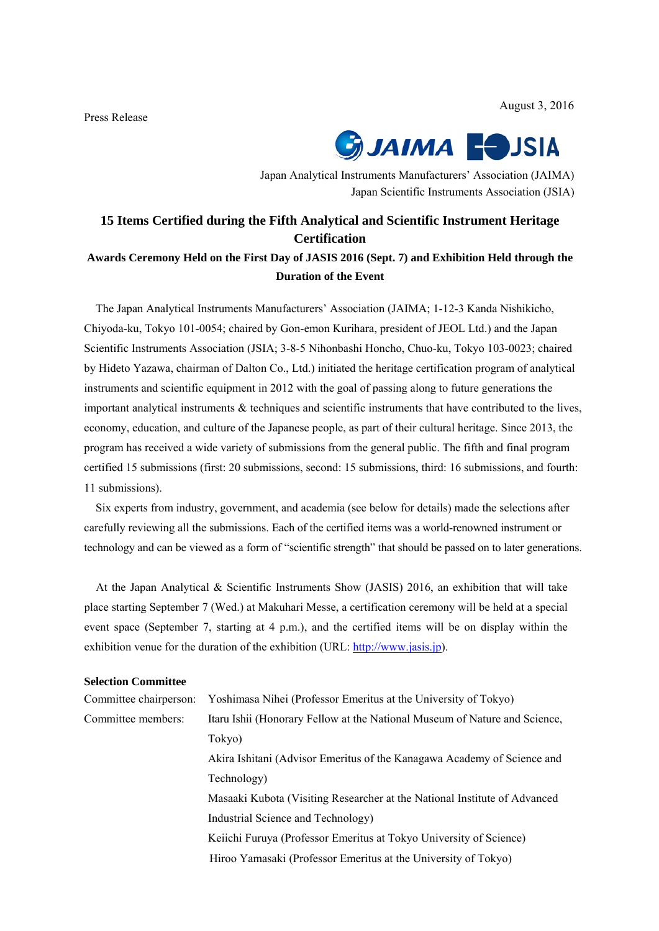August 3, 2016

Press Release



Japan Analytical Instruments Manufacturers' Association (JAIMA) Japan Scientific Instruments Association (JSIA)

# **15 Items Certified during the Fifth Analytical and Scientific Instrument Heritage Certification**

# **Awards Ceremony Held on the First Day of JASIS 2016 (Sept. 7) and Exhibition Held through the Duration of the Event**

The Japan Analytical Instruments Manufacturers' Association (JAIMA; 1-12-3 Kanda Nishikicho, Chiyoda-ku, Tokyo 101-0054; chaired by Gon-emon Kurihara, president of JEOL Ltd.) and the Japan Scientific Instruments Association (JSIA; 3-8-5 Nihonbashi Honcho, Chuo-ku, Tokyo 103-0023; chaired by Hideto Yazawa, chairman of Dalton Co., Ltd.) initiated the heritage certification program of analytical instruments and scientific equipment in 2012 with the goal of passing along to future generations the important analytical instruments & techniques and scientific instruments that have contributed to the lives, economy, education, and culture of the Japanese people, as part of their cultural heritage. Since 2013, the program has received a wide variety of submissions from the general public. The fifth and final program certified 15 submissions (first: 20 submissions, second: 15 submissions, third: 16 submissions, and fourth: 11 submissions).

Six experts from industry, government, and academia (see below for details) made the selections after carefully reviewing all the submissions. Each of the certified items was a world-renowned instrument or technology and can be viewed as a form of "scientific strength" that should be passed on to later generations.

At the Japan Analytical & Scientific Instruments Show (JASIS) 2016, an exhibition that will take place starting September 7 (Wed.) at Makuhari Messe, a certification ceremony will be held at a special event space (September 7, starting at 4 p.m.), and the certified items will be on display within the exhibition venue for the duration of the exhibition (URL: http://www.jasis.jp).

#### **Selection Committee**

| Committee chairperson: | Yoshimasa Nihei (Professor Emeritus at the University of Tokyo)            |
|------------------------|----------------------------------------------------------------------------|
| Committee members:     | Itaru Ishii (Honorary Fellow at the National Museum of Nature and Science, |
|                        | Tokyo)                                                                     |
|                        | Akira Ishitani (Advisor Emeritus of the Kanagawa Academy of Science and    |
|                        | Technology)                                                                |
|                        | Masaaki Kubota (Visiting Researcher at the National Institute of Advanced  |
|                        | Industrial Science and Technology)                                         |
|                        | Keiichi Furuya (Professor Emeritus at Tokyo University of Science)         |
|                        | Hiroo Yamasaki (Professor Emeritus at the University of Tokyo)             |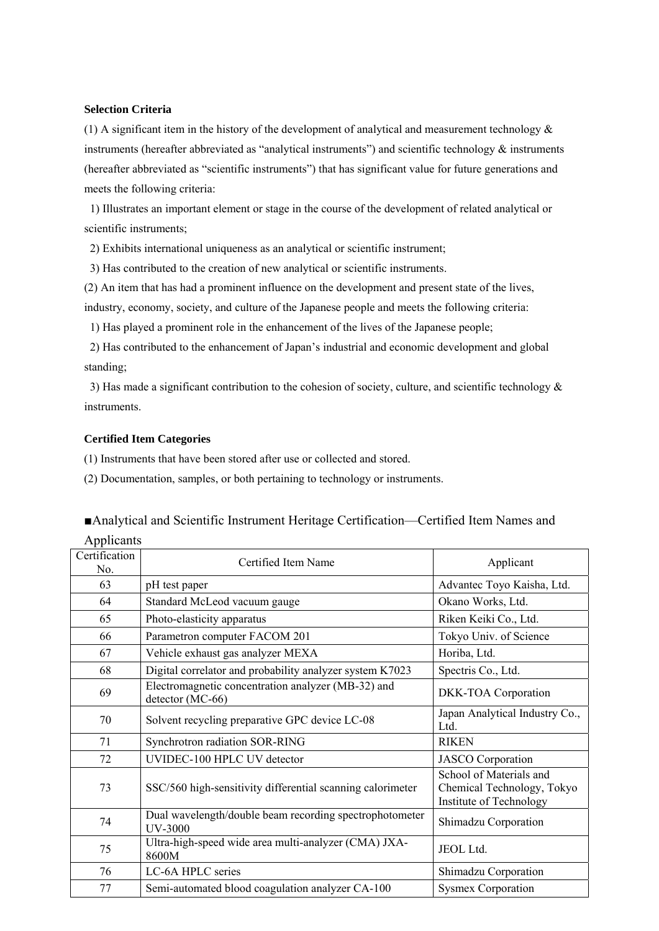#### **Selection Criteria**

(1) A significant item in the history of the development of analytical and measurement technology  $\&$ instruments (hereafter abbreviated as "analytical instruments") and scientific technology & instruments (hereafter abbreviated as "scientific instruments") that has significant value for future generations and meets the following criteria:

1) Illustrates an important element or stage in the course of the development of related analytical or scientific instruments;

2) Exhibits international uniqueness as an analytical or scientific instrument;

3) Has contributed to the creation of new analytical or scientific instruments.

(2) An item that has had a prominent influence on the development and present state of the lives, industry, economy, society, and culture of the Japanese people and meets the following criteria:

1) Has played a prominent role in the enhancement of the lives of the Japanese people;

2) Has contributed to the enhancement of Japan's industrial and economic development and global standing;

3) Has made a significant contribution to the cohesion of society, culture, and scientific technology  $\&$ instruments.

#### **Certified Item Categories**

(1) Instruments that have been stored after use or collected and stored.

(2) Documentation, samples, or both pertaining to technology or instruments.

## ■Analytical and Scientific Instrument Heritage Certification—Certified Item Names and

| Applicants           |                                                                           |                                                                                  |  |
|----------------------|---------------------------------------------------------------------------|----------------------------------------------------------------------------------|--|
| Certification<br>No. | Certified Item Name                                                       | Applicant                                                                        |  |
| 63                   | pH test paper                                                             | Advantec Toyo Kaisha, Ltd.                                                       |  |
| 64                   | Standard McLeod vacuum gauge                                              | Okano Works, Ltd.                                                                |  |
| 65                   | Photo-elasticity apparatus                                                | Riken Keiki Co., Ltd.                                                            |  |
| 66                   | Parametron computer FACOM 201                                             | Tokyo Univ. of Science                                                           |  |
| 67                   | Vehicle exhaust gas analyzer MEXA                                         | Horiba, Ltd.                                                                     |  |
| 68                   | Digital correlator and probability analyzer system K7023                  | Spectris Co., Ltd.                                                               |  |
| 69                   | Electromagnetic concentration analyzer (MB-32) and<br>detector (MC-66)    | DKK-TOA Corporation                                                              |  |
| 70                   | Solvent recycling preparative GPC device LC-08                            | Japan Analytical Industry Co.,<br>Ltd.                                           |  |
| 71                   | Synchrotron radiation SOR-RING                                            | <b>RIKEN</b>                                                                     |  |
| 72                   | UVIDEC-100 HPLC UV detector                                               | <b>JASCO</b> Corporation                                                         |  |
| 73                   | SSC/560 high-sensitivity differential scanning calorimeter                | School of Materials and<br>Chemical Technology, Tokyo<br>Institute of Technology |  |
| 74                   | Dual wavelength/double beam recording spectrophotometer<br><b>UV-3000</b> | Shimadzu Corporation                                                             |  |
| 75                   | Ultra-high-speed wide area multi-analyzer (CMA) JXA-<br>8600M             | JEOL Ltd.                                                                        |  |
| 76                   | LC-6A HPLC series                                                         | Shimadzu Corporation                                                             |  |
| 77                   | Semi-automated blood coagulation analyzer CA-100                          | <b>Sysmex Corporation</b>                                                        |  |